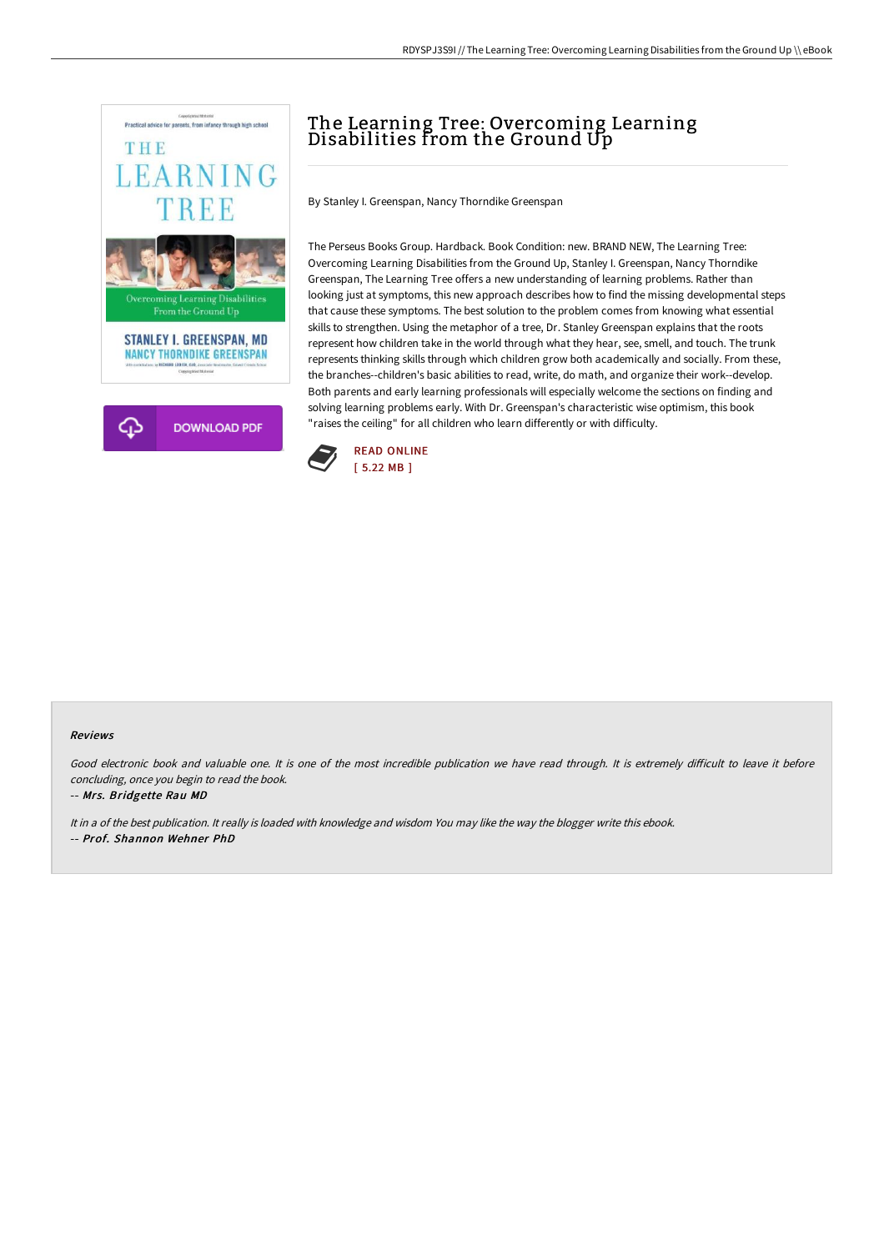

# The Learning Tree: Overcoming Learning Disabilities from the Ground Up

By Stanley I. Greenspan, Nancy Thorndike Greenspan

The Perseus Books Group. Hardback. Book Condition: new. BRAND NEW, The Learning Tree: Overcoming Learning Disabilities from the Ground Up, Stanley I. Greenspan, Nancy Thorndike Greenspan, The Learning Tree offers a new understanding of learning problems. Rather than looking just at symptoms, this new approach describes how to find the missing developmental steps that cause these symptoms. The best solution to the problem comes from knowing what essential skills to strengthen. Using the metaphor of a tree, Dr. Stanley Greenspan explains that the roots represent how children take in the world through what they hear, see, smell, and touch. The trunk represents thinking skills through which children grow both academically and socially. From these, the branches--children's basic abilities to read, write, do math, and organize their work--develop. Both parents and early learning professionals will especially welcome the sections on finding and solving learning problems early. With Dr. Greenspan's characteristic wise optimism, this book "raises the ceiling" for all children who learn differently or with difficulty.



#### Reviews

Good electronic book and valuable one. It is one of the most incredible publication we have read through. It is extremely difficult to leave it before concluding, once you begin to read the book.

-- Mrs. Bridgette Rau MD

It in <sup>a</sup> of the best publication. It really is loaded with knowledge and wisdom You may like the way the blogger write this ebook. -- Prof. Shannon Wehner PhD